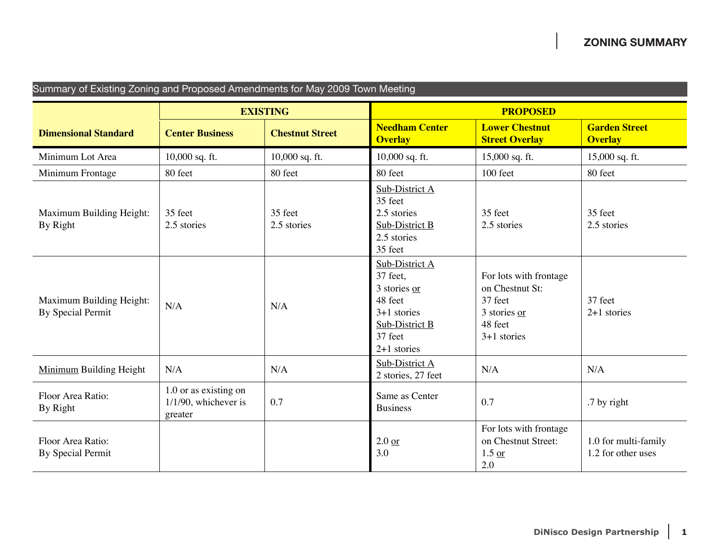| Summary of Existing Zoning and Proposed Amendments for May 2009 Town Meeting |                                                             |                        |                                                                                                                      |                                                                                                  |                                            |  |  |
|------------------------------------------------------------------------------|-------------------------------------------------------------|------------------------|----------------------------------------------------------------------------------------------------------------------|--------------------------------------------------------------------------------------------------|--------------------------------------------|--|--|
|                                                                              | <b>EXISTING</b>                                             |                        | <b>PROPOSED</b>                                                                                                      |                                                                                                  |                                            |  |  |
| <b>Dimensional Standard</b>                                                  | <b>Center Business</b>                                      | <b>Chestnut Street</b> | <b>Needham Center</b><br><b>Overlay</b>                                                                              | <b>Lower Chestnut</b><br><b>Street Overlay</b>                                                   | <b>Garden Street</b><br><b>Overlay</b>     |  |  |
| Minimum Lot Area                                                             | 10,000 sq. ft.                                              | $10,000$ sq. ft.       | 10,000 sq. ft.                                                                                                       | 15,000 sq. ft.                                                                                   | 15,000 sq. ft.                             |  |  |
| Minimum Frontage                                                             | 80 feet                                                     | 80 feet                | 80 feet                                                                                                              | 100 feet                                                                                         | 80 feet                                    |  |  |
| Maximum Building Height:<br>By Right                                         | 35 feet<br>2.5 stories                                      | 35 feet<br>2.5 stories | Sub-District A<br>35 feet<br>2.5 stories<br>Sub-District B<br>2.5 stories<br>35 feet                                 | 35 feet<br>2.5 stories                                                                           | 35 feet<br>2.5 stories                     |  |  |
| Maximum Building Height:<br>By Special Permit                                | N/A                                                         | N/A                    | Sub-District A<br>37 feet,<br>3 stories or<br>48 feet<br>$3+1$ stories<br>Sub-District B<br>37 feet<br>$2+1$ stories | For lots with frontage<br>on Chestnut St:<br>37 feet<br>3 stories or<br>48 feet<br>$3+1$ stories | 37 feet<br>$2+1$ stories                   |  |  |
| <b>Minimum Building Height</b>                                               | N/A                                                         | N/A                    | Sub-District A<br>2 stories, 27 feet                                                                                 | N/A                                                                                              | N/A                                        |  |  |
| Floor Area Ratio:<br>By Right                                                | 1.0 or as existing on<br>$1/1/90$ , whichever is<br>greater | 0.7                    | Same as Center<br><b>Business</b>                                                                                    | 0.7                                                                                              | .7 by right                                |  |  |
| Floor Area Ratio:<br><b>By Special Permit</b>                                |                                                             |                        | $2.0$ or<br>3.0                                                                                                      | For lots with frontage<br>on Chestnut Street:<br>$1.5 \text{ or }$<br>2.0                        | 1.0 for multi-family<br>1.2 for other uses |  |  |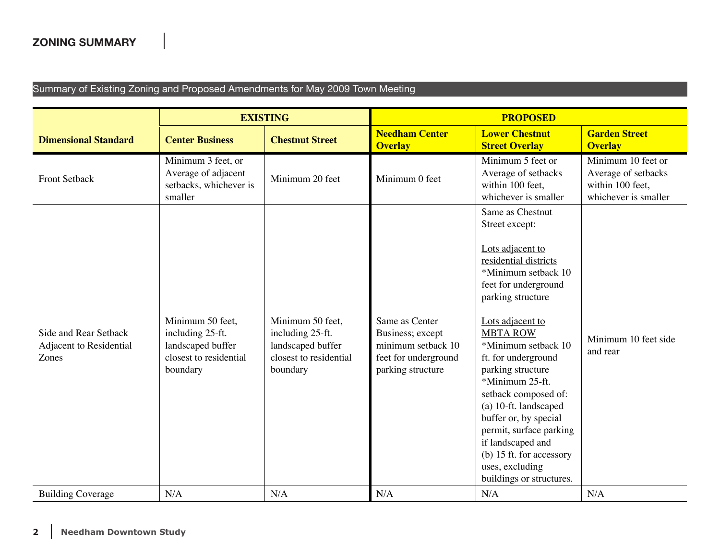## Summary of Existing Zoning and Proposed Amendments for May 2009 Town Meeting

|                                                           | <b>EXISTING</b>                                                                                 |                                                                                                 | <b>PROPOSED</b>                                                                                       |                                                                                                                                                                                                                                                                                                                                                                                                                                                                                       |                                                                                       |
|-----------------------------------------------------------|-------------------------------------------------------------------------------------------------|-------------------------------------------------------------------------------------------------|-------------------------------------------------------------------------------------------------------|---------------------------------------------------------------------------------------------------------------------------------------------------------------------------------------------------------------------------------------------------------------------------------------------------------------------------------------------------------------------------------------------------------------------------------------------------------------------------------------|---------------------------------------------------------------------------------------|
| <b>Dimensional Standard</b>                               | <b>Center Business</b>                                                                          | <b>Chestnut Street</b>                                                                          | <b>Needham Center</b><br><b>Overlay</b>                                                               | <b>Lower Chestnut</b><br><b>Street Overlay</b>                                                                                                                                                                                                                                                                                                                                                                                                                                        | <b>Garden Street</b><br><b>Overlay</b>                                                |
| <b>Front Setback</b>                                      | Minimum 3 feet, or<br>Average of adjacent<br>setbacks, whichever is<br>smaller                  | Minimum 20 feet                                                                                 | Minimum 0 feet                                                                                        | Minimum 5 feet or<br>Average of setbacks<br>within 100 feet,<br>whichever is smaller                                                                                                                                                                                                                                                                                                                                                                                                  | Minimum 10 feet or<br>Average of setbacks<br>within 100 feet,<br>whichever is smaller |
| Side and Rear Setback<br>Adjacent to Residential<br>Zones | Minimum 50 feet,<br>including 25-ft.<br>landscaped buffer<br>closest to residential<br>boundary | Minimum 50 feet,<br>including 25-ft.<br>landscaped buffer<br>closest to residential<br>boundary | Same as Center<br>Business; except<br>minimum setback 10<br>feet for underground<br>parking structure | Same as Chestnut<br>Street except:<br>Lots adjacent to<br>residential districts<br>*Minimum setback 10<br>feet for underground<br>parking structure<br>Lots adjacent to<br><b>MBTA ROW</b><br>*Minimum setback 10<br>ft. for underground<br>parking structure<br>*Minimum 25-ft.<br>setback composed of:<br>(a) 10-ft. landscaped<br>buffer or, by special<br>permit, surface parking<br>if landscaped and<br>(b) 15 ft. for accessory<br>uses, excluding<br>buildings or structures. | Minimum 10 feet side<br>and rear                                                      |
| <b>Building Coverage</b>                                  | N/A                                                                                             | N/A                                                                                             | N/A                                                                                                   | N/A                                                                                                                                                                                                                                                                                                                                                                                                                                                                                   | N/A                                                                                   |